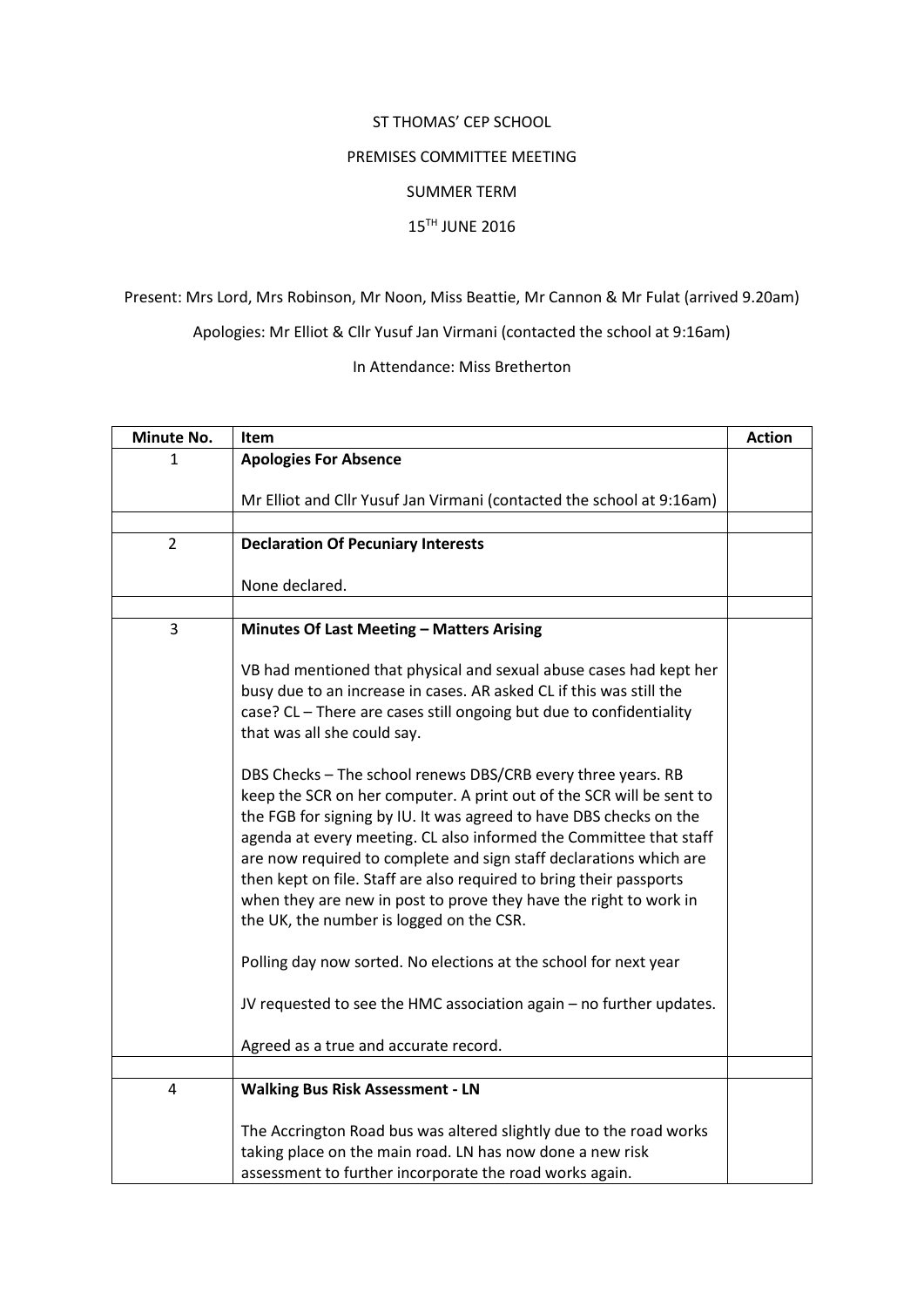#### ST THOMAS' CEP SCHOOL

### PREMISES COMMITTEE MEETING

### SUMMER TERM

### 15TH JUNE 2016

# Present: Mrs Lord, Mrs Robinson, Mr Noon, Miss Beattie, Mr Cannon & Mr Fulat (arrived 9.20am)

Apologies: Mr Elliot & Cllr Yusuf Jan Virmani (contacted the school at 9:16am)

## In Attendance: Miss Bretherton

| Minute No.     | Item                                                                                                                                                                                                                                                                                                                                                                                                                                                                                                                                                                                                                                                                                      | <b>Action</b> |
|----------------|-------------------------------------------------------------------------------------------------------------------------------------------------------------------------------------------------------------------------------------------------------------------------------------------------------------------------------------------------------------------------------------------------------------------------------------------------------------------------------------------------------------------------------------------------------------------------------------------------------------------------------------------------------------------------------------------|---------------|
| 1              | <b>Apologies For Absence</b>                                                                                                                                                                                                                                                                                                                                                                                                                                                                                                                                                                                                                                                              |               |
|                | Mr Elliot and Cllr Yusuf Jan Virmani (contacted the school at 9:16am)                                                                                                                                                                                                                                                                                                                                                                                                                                                                                                                                                                                                                     |               |
|                |                                                                                                                                                                                                                                                                                                                                                                                                                                                                                                                                                                                                                                                                                           |               |
| $\overline{2}$ | <b>Declaration Of Pecuniary Interests</b>                                                                                                                                                                                                                                                                                                                                                                                                                                                                                                                                                                                                                                                 |               |
|                | None declared.                                                                                                                                                                                                                                                                                                                                                                                                                                                                                                                                                                                                                                                                            |               |
|                |                                                                                                                                                                                                                                                                                                                                                                                                                                                                                                                                                                                                                                                                                           |               |
| 3              | Minutes Of Last Meeting - Matters Arising                                                                                                                                                                                                                                                                                                                                                                                                                                                                                                                                                                                                                                                 |               |
|                | VB had mentioned that physical and sexual abuse cases had kept her<br>busy due to an increase in cases. AR asked CL if this was still the<br>case? CL - There are cases still ongoing but due to confidentiality<br>that was all she could say.                                                                                                                                                                                                                                                                                                                                                                                                                                           |               |
|                | DBS Checks - The school renews DBS/CRB every three years. RB<br>keep the SCR on her computer. A print out of the SCR will be sent to<br>the FGB for signing by IU. It was agreed to have DBS checks on the<br>agenda at every meeting. CL also informed the Committee that staff<br>are now required to complete and sign staff declarations which are<br>then kept on file. Staff are also required to bring their passports<br>when they are new in post to prove they have the right to work in<br>the UK, the number is logged on the CSR.<br>Polling day now sorted. No elections at the school for next year<br>JV requested to see the HMC association again - no further updates. |               |
|                |                                                                                                                                                                                                                                                                                                                                                                                                                                                                                                                                                                                                                                                                                           |               |
|                | Agreed as a true and accurate record.                                                                                                                                                                                                                                                                                                                                                                                                                                                                                                                                                                                                                                                     |               |
|                |                                                                                                                                                                                                                                                                                                                                                                                                                                                                                                                                                                                                                                                                                           |               |
| 4              | <b>Walking Bus Risk Assessment - LN</b>                                                                                                                                                                                                                                                                                                                                                                                                                                                                                                                                                                                                                                                   |               |
|                | The Accrington Road bus was altered slightly due to the road works<br>taking place on the main road. LN has now done a new risk<br>assessment to further incorporate the road works again.                                                                                                                                                                                                                                                                                                                                                                                                                                                                                                |               |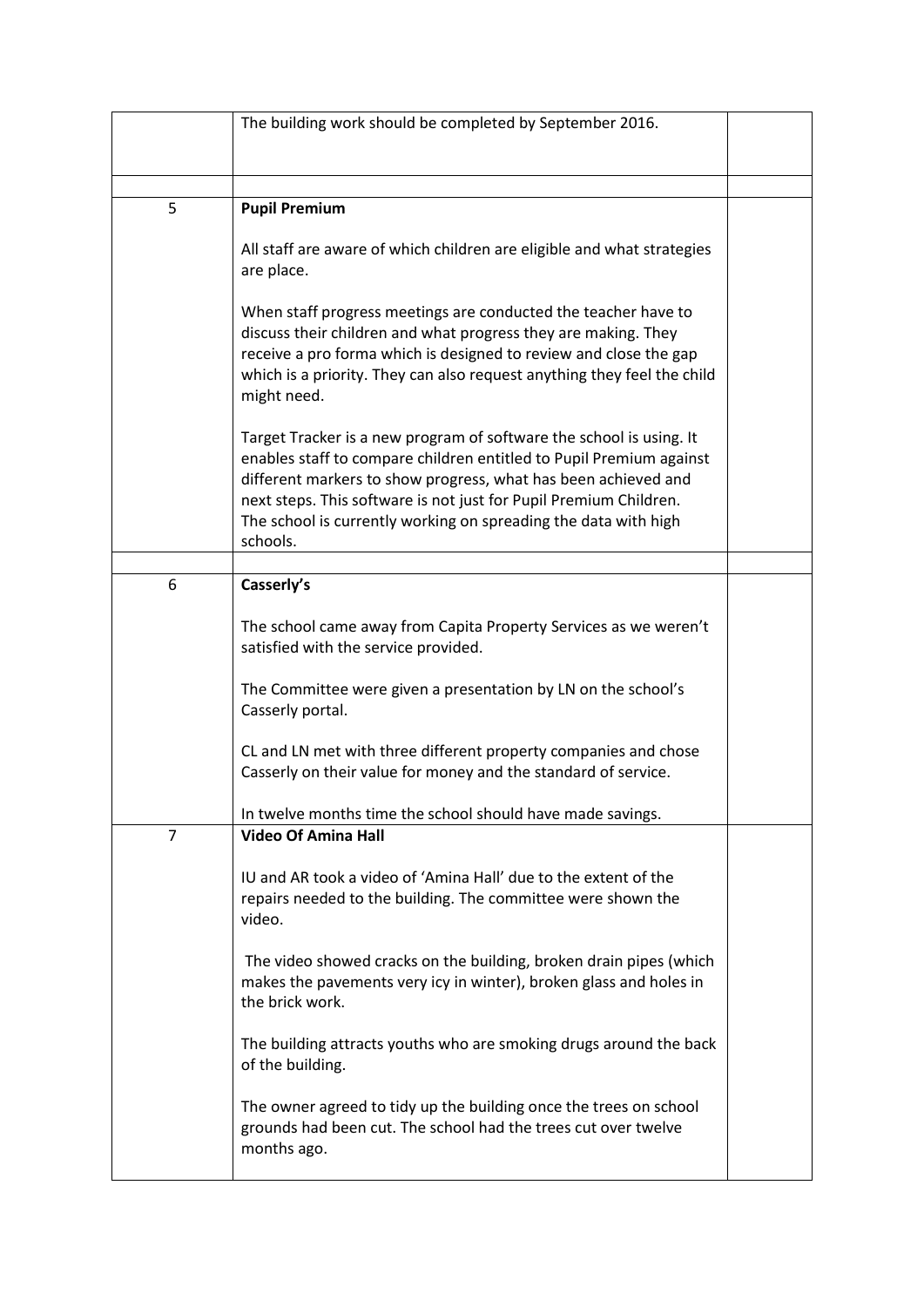|                | The building work should be completed by September 2016.                                                                                                                                                                                                                                                                                                         |  |
|----------------|------------------------------------------------------------------------------------------------------------------------------------------------------------------------------------------------------------------------------------------------------------------------------------------------------------------------------------------------------------------|--|
|                |                                                                                                                                                                                                                                                                                                                                                                  |  |
|                |                                                                                                                                                                                                                                                                                                                                                                  |  |
|                |                                                                                                                                                                                                                                                                                                                                                                  |  |
| 5              | <b>Pupil Premium</b>                                                                                                                                                                                                                                                                                                                                             |  |
|                | All staff are aware of which children are eligible and what strategies<br>are place.                                                                                                                                                                                                                                                                             |  |
|                | When staff progress meetings are conducted the teacher have to<br>discuss their children and what progress they are making. They<br>receive a pro forma which is designed to review and close the gap<br>which is a priority. They can also request anything they feel the child<br>might need.                                                                  |  |
|                | Target Tracker is a new program of software the school is using. It<br>enables staff to compare children entitled to Pupil Premium against<br>different markers to show progress, what has been achieved and<br>next steps. This software is not just for Pupil Premium Children.<br>The school is currently working on spreading the data with high<br>schools. |  |
|                |                                                                                                                                                                                                                                                                                                                                                                  |  |
| 6              | Casserly's                                                                                                                                                                                                                                                                                                                                                       |  |
|                | The school came away from Capita Property Services as we weren't<br>satisfied with the service provided.                                                                                                                                                                                                                                                         |  |
|                | The Committee were given a presentation by LN on the school's<br>Casserly portal.                                                                                                                                                                                                                                                                                |  |
|                | CL and LN met with three different property companies and chose<br>Casserly on their value for money and the standard of service.                                                                                                                                                                                                                                |  |
|                | In twelve months time the school should have made savings.                                                                                                                                                                                                                                                                                                       |  |
| $\overline{7}$ | <b>Video Of Amina Hall</b>                                                                                                                                                                                                                                                                                                                                       |  |
|                | IU and AR took a video of 'Amina Hall' due to the extent of the<br>repairs needed to the building. The committee were shown the<br>video.                                                                                                                                                                                                                        |  |
|                | The video showed cracks on the building, broken drain pipes (which<br>makes the pavements very icy in winter), broken glass and holes in<br>the brick work.                                                                                                                                                                                                      |  |
|                | The building attracts youths who are smoking drugs around the back<br>of the building.                                                                                                                                                                                                                                                                           |  |
|                | The owner agreed to tidy up the building once the trees on school<br>grounds had been cut. The school had the trees cut over twelve<br>months ago.                                                                                                                                                                                                               |  |